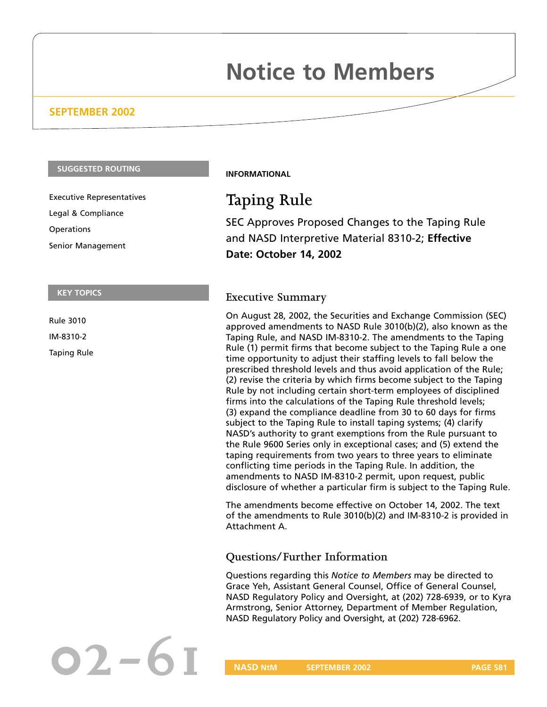# **Notice to Members**

# **SEPTEMBER 2002**

#### **SUGGESTED ROUTING**

Executive Representatives Legal & Compliance **Operations** Senior Management

#### **KEY TOPICS**

Rule 3010 IM-8310-2

Taping Rule

#### **INFORMATIONAL**

# **Taping Rule**

SEC Approves Proposed Changes to the Taping Rule and NASD Interpretive Material 8310-2; **Effective Date: October 14, 2002**

## **Executive Summary**

On August 28, 2002, the Securities and Exchange Commission (SEC) approved amendments to NASD Rule 3010(b)(2), also known as the Taping Rule, and NASD IM-8310-2. The amendments to the Taping Rule (1) permit firms that become subject to the Taping Rule a one time opportunity to adjust their staffing levels to fall below the prescribed threshold levels and thus avoid application of the Rule; (2) revise the criteria by which firms become subject to the Taping Rule by not including certain short-term employees of disciplined firms into the calculations of the Taping Rule threshold levels; (3) expand the compliance deadline from 30 to 60 days for firms subject to the Taping Rule to install taping systems; (4) clarify NASD's authority to grant exemptions from the Rule pursuant to the Rule 9600 Series only in exceptional cases; and (5) extend the taping requirements from two years to three years to eliminate conflicting time periods in the Taping Rule. In addition, the amendments to NASD IM-8310-2 permit, upon request, public disclosure of whether a particular firm is subject to the Taping Rule.

The amendments become effective on October 14, 2002. The text of the amendments to Rule 3010(b)(2) and IM-8310-2 is provided in Attachment A.

# **Questions/Further Information**

Questions regarding this *Notice to Members* may be directed to Grace Yeh, Assistant General Counsel, Office of General Counsel, NASD Regulatory Policy and Oversight, at (202) 728-6939, or to Kyra Armstrong, Senior Attorney, Department of Member Regulation, NASD Regulatory Policy and Oversight, at (202) 728-6962.

**1 1 NASD** NtM **SEPTEMBER 2002** PAGE 581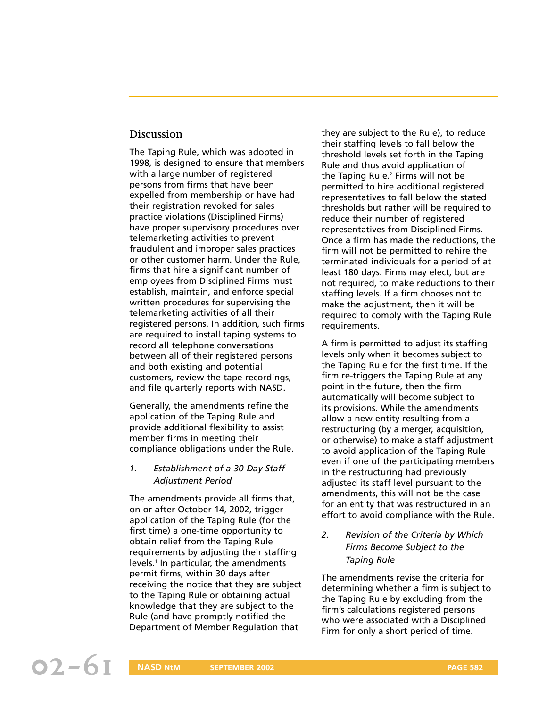### **Discussion**

The Taping Rule, which was adopted in 1998, is designed to ensure that members with a large number of registered persons from firms that have been expelled from membership or have had their registration revoked for sales practice violations (Disciplined Firms) have proper supervisory procedures over telemarketing activities to prevent fraudulent and improper sales practices or other customer harm. Under the Rule, firms that hire a significant number of employees from Disciplined Firms must establish, maintain, and enforce special written procedures for supervising the telemarketing activities of all their registered persons. In addition, such firms are required to install taping systems to record all telephone conversations between all of their registered persons and both existing and potential customers, review the tape recordings, and file quarterly reports with NASD.

Generally, the amendments refine the application of the Taping Rule and provide additional flexibility to assist member firms in meeting their compliance obligations under the Rule.

#### *1. Establishment of a 30-Day Staff Adjustment Period*

The amendments provide all firms that, on or after October 14, 2002, trigger application of the Taping Rule (for the first time) a one-time opportunity to obtain relief from the Taping Rule requirements by adjusting their staffing levels.<sup>1</sup> In particular, the amendments permit firms, within 30 days after receiving the notice that they are subject to the Taping Rule or obtaining actual knowledge that they are subject to the Rule (and have promptly notified the Department of Member Regulation that

they are subject to the Rule), to reduce their staffing levels to fall below the threshold levels set forth in the Taping Rule and thus avoid application of the Taping Rule.<sup>2</sup> Firms will not be permitted to hire additional registered representatives to fall below the stated thresholds but rather will be required to reduce their number of registered representatives from Disciplined Firms. Once a firm has made the reductions, the firm will not be permitted to rehire the terminated individuals for a period of at least 180 days. Firms may elect, but are not required, to make reductions to their staffing levels. If a firm chooses not to make the adjustment, then it will be required to comply with the Taping Rule requirements.

A firm is permitted to adjust its staffing levels only when it becomes subject to the Taping Rule for the first time. If the firm re-triggers the Taping Rule at any point in the future, then the firm automatically will become subject to its provisions. While the amendments allow a new entity resulting from a restructuring (by a merger, acquisition, or otherwise) to make a staff adjustment to avoid application of the Taping Rule even if one of the participating members in the restructuring had previously adjusted its staff level pursuant to the amendments, this will not be the case for an entity that was restructured in an effort to avoid compliance with the Rule.

*2. Revision of the Criteria by Which Firms Become Subject to the Taping Rule*

The amendments revise the criteria for determining whether a firm is subject to the Taping Rule by excluding from the firm's calculations registered persons who were associated with a Disciplined Firm for only a short period of time.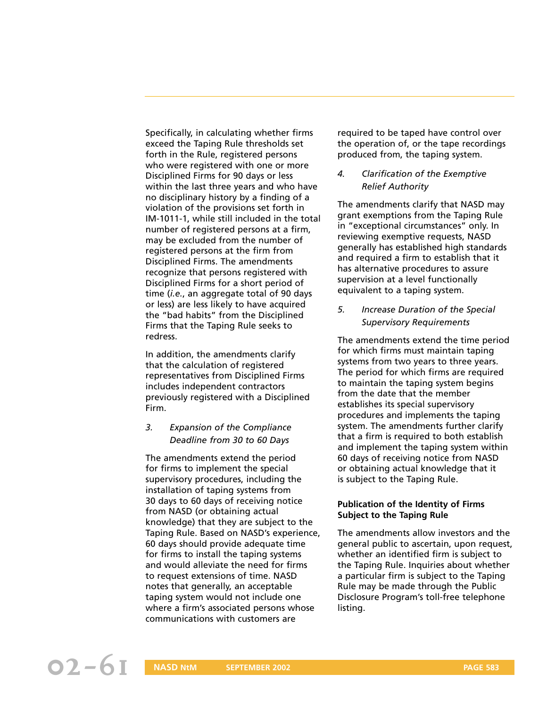Specifically, in calculating whether firms exceed the Taping Rule thresholds set forth in the Rule, registered persons who were registered with one or more Disciplined Firms for 90 days or less within the last three years and who have no disciplinary history by a finding of a violation of the provisions set forth in IM-1011-1, while still included in the total number of registered persons at a firm, may be excluded from the number of registered persons at the firm from Disciplined Firms. The amendments recognize that persons registered with Disciplined Firms for a short period of time (*i.e.*, an aggregate total of 90 days or less) are less likely to have acquired the "bad habits" from the Disciplined Firms that the Taping Rule seeks to redress.

In addition, the amendments clarify that the calculation of registered representatives from Disciplined Firms includes independent contractors previously registered with a Disciplined Firm.

*3. Expansion of the Compliance Deadline from 30 to 60 Days*

The amendments extend the period for firms to implement the special supervisory procedures, including the installation of taping systems from 30 days to 60 days of receiving notice from NASD (or obtaining actual knowledge) that they are subject to the Taping Rule. Based on NASD's experience, 60 days should provide adequate time for firms to install the taping systems and would alleviate the need for firms to request extensions of time. NASD notes that generally, an acceptable taping system would not include one where a firm's associated persons whose communications with customers are

required to be taped have control over the operation of, or the tape recordings produced from, the taping system.

#### *4. Clarification of the Exemptive Relief Authority*

The amendments clarify that NASD may grant exemptions from the Taping Rule in "exceptional circumstances" only. In reviewing exemptive requests, NASD generally has established high standards and required a firm to establish that it has alternative procedures to assure supervision at a level functionally equivalent to a taping system.

*5. Increase Duration of the Special Supervisory Requirements*

The amendments extend the time period for which firms must maintain taping systems from two years to three years. The period for which firms are required to maintain the taping system begins from the date that the member establishes its special supervisory procedures and implements the taping system. The amendments further clarify that a firm is required to both establish and implement the taping system within 60 days of receiving notice from NASD or obtaining actual knowledge that it is subject to the Taping Rule.

#### **Publication of the Identity of Firms Subject to the Taping Rule**

The amendments allow investors and the general public to ascertain, upon request, whether an identified firm is subject to the Taping Rule. Inquiries about whether a particular firm is subject to the Taping Rule may be made through the Public Disclosure Program's toll-free telephone listing.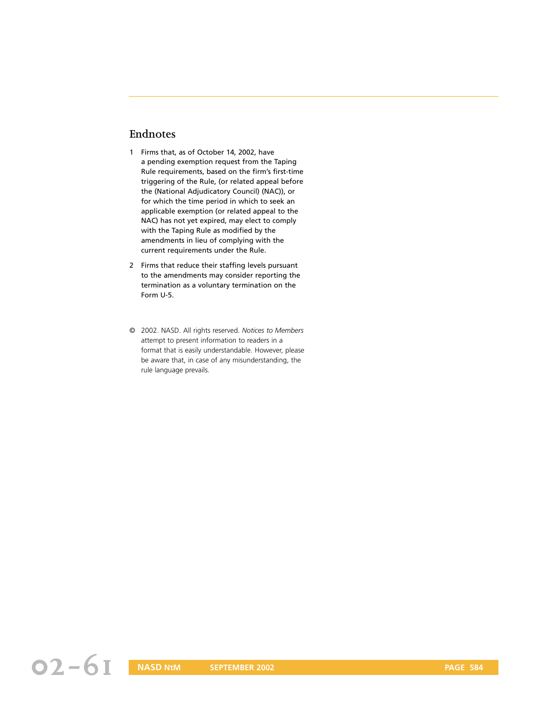# **Endnotes**

- 1 Firms that, as of October 14, 2002, have a pending exemption request from the Taping Rule requirements, based on the firm's first-time triggering of the Rule, (or related appeal before the (National Adjudicatory Council) (NAC)), or for which the time period in which to seek an applicable exemption (or related appeal to the NAC) has not yet expired, may elect to comply with the Taping Rule as modified by the amendments in lieu of complying with the current requirements under the Rule.
- 2 Firms that reduce their staffing levels pursuant to the amendments may consider reporting the termination as a voluntary termination on the Form U-5.
- © 2002. NASD. All rights reserved. *Notices to Members* attempt to present information to readers in a format that is easily understandable. However, please be aware that, in case of any misunderstanding, the rule language prevails.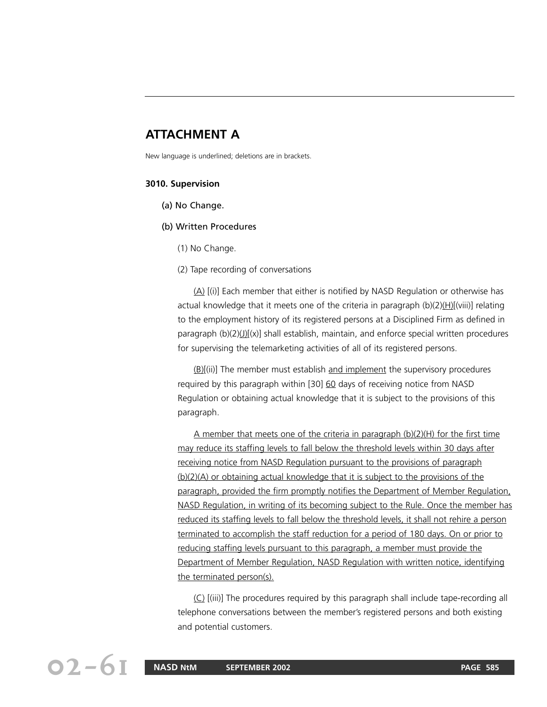# **ATTACHMENT A**

New language is underlined; deletions are in brackets.

#### **3010. Supervision**

- (a) No Change.
- (b) Written Procedures
	- (1) No Change.
	- (2) Tape recording of conversations

(A) [(i)] Each member that either is notified by NASD Regulation or otherwise has actual knowledge that it meets one of the criteria in paragraph  $(b)(2)(H)[(viii)]$  relating to the employment history of its registered persons at a Disciplined Firm as defined in paragraph  $(b)(2)(1)(x)$  shall establish, maintain, and enforce special written procedures for supervising the telemarketing activities of all of its registered persons.

(B)[(ii)] The member must establish and implement the supervisory procedures required by this paragraph within [30] 60 days of receiving notice from NASD Regulation or obtaining actual knowledge that it is subject to the provisions of this paragraph.

A member that meets one of the criteria in paragraph (b)(2)(H) for the first time may reduce its staffing levels to fall below the threshold levels within 30 days after receiving notice from NASD Regulation pursuant to the provisions of paragraph (b)(2)(A) or obtaining actual knowledge that it is subject to the provisions of the paragraph, provided the firm promptly notifies the Department of Member Regulation, NASD Regulation, in writing of its becoming subject to the Rule. Once the member has reduced its staffing levels to fall below the threshold levels, it shall not rehire a person terminated to accomplish the staff reduction for a period of 180 days. On or prior to reducing staffing levels pursuant to this paragraph, a member must provide the Department of Member Regulation, NASD Regulation with written notice, identifying the terminated person(s).

(C) [(iii)] The procedures required by this paragraph shall include tape-recording all telephone conversations between the member's registered persons and both existing and potential customers.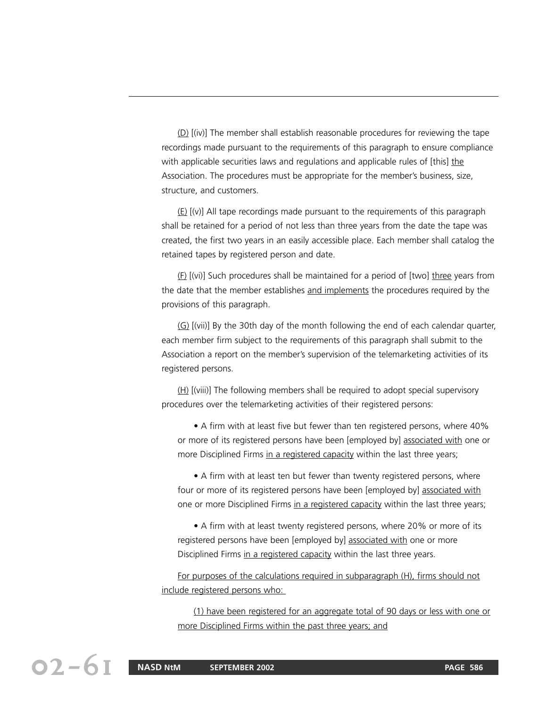(D) [(iv)] The member shall establish reasonable procedures for reviewing the tape recordings made pursuant to the requirements of this paragraph to ensure compliance with applicable securities laws and regulations and applicable rules of [this] the Association. The procedures must be appropriate for the member's business, size, structure, and customers.

 $(E)$   $[V]$  All tape recordings made pursuant to the requirements of this paragraph shall be retained for a period of not less than three years from the date the tape was created, the first two years in an easily accessible place. Each member shall catalog the retained tapes by registered person and date.

 $(E)$  [(vi)] Such procedures shall be maintained for a period of [two] three years from the date that the member establishes and implements the procedures required by the provisions of this paragraph.

(G) [(vii)] By the 30th day of the month following the end of each calendar quarter, each member firm subject to the requirements of this paragraph shall submit to the Association a report on the member's supervision of the telemarketing activities of its registered persons.

 $(H)$  [(viii)] The following members shall be required to adopt special supervisory procedures over the telemarketing activities of their registered persons:

• A firm with at least five but fewer than ten registered persons, where 40% or more of its registered persons have been [employed by] associated with one or more Disciplined Firms in a registered capacity within the last three years;

• A firm with at least ten but fewer than twenty registered persons, where four or more of its registered persons have been [employed by] associated with one or more Disciplined Firms in a registered capacity within the last three years;

• A firm with at least twenty registered persons, where 20% or more of its registered persons have been [employed by] associated with one or more Disciplined Firms in a registered capacity within the last three years.

For purposes of the calculations required in subparagraph (H), firms should not include registered persons who:

(1) have been registered for an aggregate total of 90 days or less with one or more Disciplined Firms within the past three years; and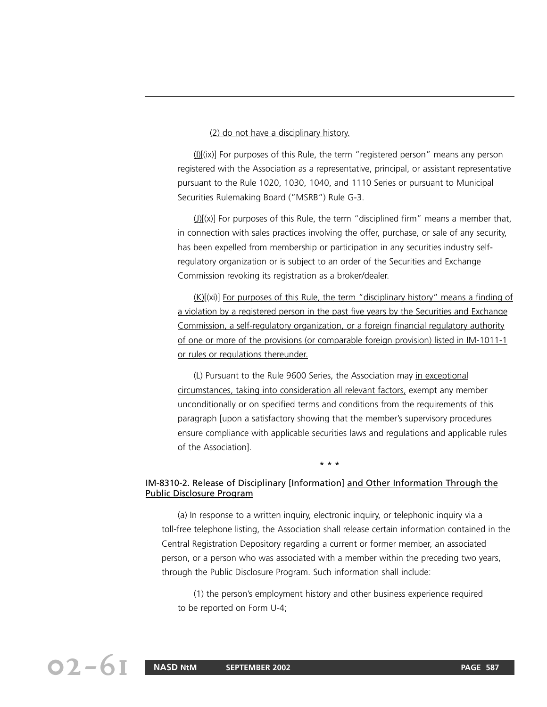#### (2) do not have a disciplinary history.

(I)[(ix)] For purposes of this Rule, the term "registered person" means any person registered with the Association as a representative, principal, or assistant representative pursuant to the Rule 1020, 1030, 1040, and 1110 Series or pursuant to Municipal Securities Rulemaking Board ("MSRB") Rule G-3.

 $J(x)[(x)]$  For purposes of this Rule, the term "disciplined firm" means a member that, in connection with sales practices involving the offer, purchase, or sale of any security, has been expelled from membership or participation in any securities industry selfregulatory organization or is subject to an order of the Securities and Exchange Commission revoking its registration as a broker/dealer.

(K)[(xi)] For purposes of this Rule, the term "disciplinary history" means a finding of a violation by a registered person in the past five years by the Securities and Exchange Commission, a self-regulatory organization, or a foreign financial regulatory authority of one or more of the provisions (or comparable foreign provision) listed in IM-1011-1 or rules or regulations thereunder.

(L) Pursuant to the Rule 9600 Series, the Association may in exceptional circumstances, taking into consideration all relevant factors, exempt any member unconditionally or on specified terms and conditions from the requirements of this paragraph [upon a satisfactory showing that the member's supervisory procedures ensure compliance with applicable securities laws and regulations and applicable rules of the Association].

#### IM-8310-2. Release of Disciplinary [Information] and Other Information Through the Public Disclosure Program

\* \* \*

(a) In response to a written inquiry, electronic inquiry, or telephonic inquiry via a toll-free telephone listing, the Association shall release certain information contained in the Central Registration Depository regarding a current or former member, an associated person, or a person who was associated with a member within the preceding two years, through the Public Disclosure Program. Such information shall include:

(1) the person's employment history and other business experience required to be reported on Form U-4;